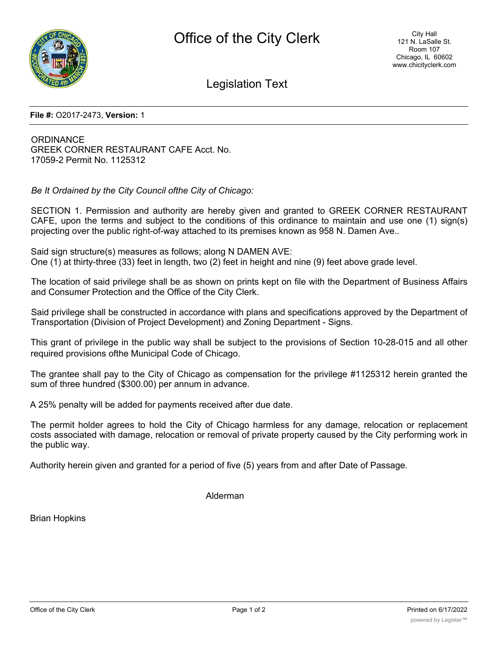

Legislation Text

## **File #:** O2017-2473, **Version:** 1

**ORDINANCE** GREEK CORNER RESTAURANT CAFE Acct. No. 17059-2 Permit No. 1125312

*Be It Ordained by the City Council ofthe City of Chicago:*

SECTION 1. Permission and authority are hereby given and granted to GREEK CORNER RESTAURANT CAFE, upon the terms and subject to the conditions of this ordinance to maintain and use one (1) sign(s) projecting over the public right-of-way attached to its premises known as 958 N. Damen Ave..

Said sign structure(s) measures as follows; along N DAMEN AVE: One (1) at thirty-three (33) feet in length, two (2) feet in height and nine (9) feet above grade level.

The location of said privilege shall be as shown on prints kept on file with the Department of Business Affairs and Consumer Protection and the Office of the City Clerk.

Said privilege shall be constructed in accordance with plans and specifications approved by the Department of Transportation (Division of Project Development) and Zoning Department - Signs.

This grant of privilege in the public way shall be subject to the provisions of Section 10-28-015 and all other required provisions ofthe Municipal Code of Chicago.

The grantee shall pay to the City of Chicago as compensation for the privilege #1125312 herein granted the sum of three hundred (\$300.00) per annum in advance.

A 25% penalty will be added for payments received after due date.

The permit holder agrees to hold the City of Chicago harmless for any damage, relocation or replacement costs associated with damage, relocation or removal of private property caused by the City performing work in the public way.

Authority herein given and granted for a period of five (5) years from and after Date of Passage.

Alderman

Brian Hopkins